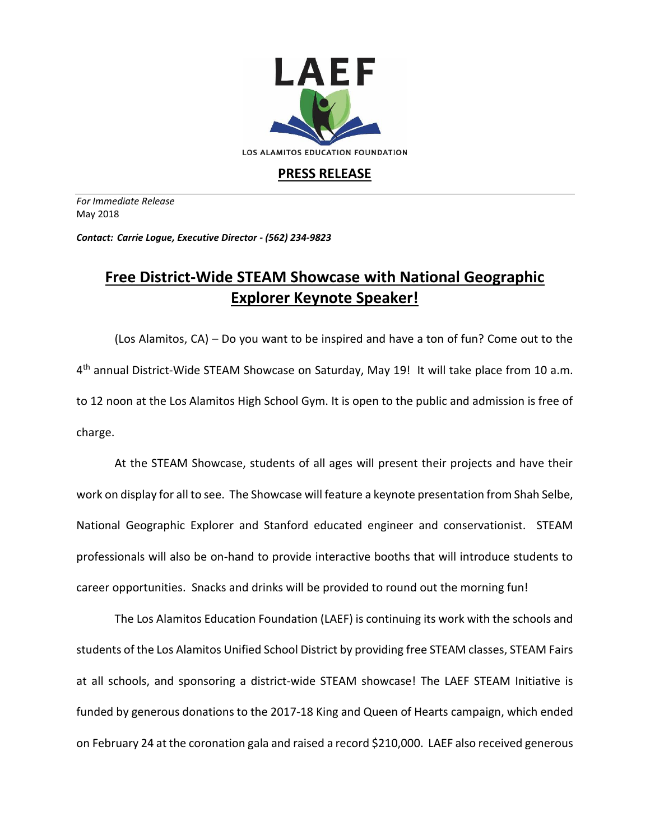

## **PRESS RELEASE**

*For Immediate Release*  May 2018

*Contact: Carrie Logue, Executive Director - (562) 234-9823*

## **Free District-Wide STEAM Showcase with National Geographic Explorer Keynote Speaker!**

(Los Alamitos, CA) – Do you want to be inspired and have a ton of fun? Come out to the 4<sup>th</sup> annual District-Wide STEAM Showcase on Saturday, May 19! It will take place from 10 a.m. to 12 noon at the Los Alamitos High School Gym. It is open to the public and admission is free of charge.

At the STEAM Showcase, students of all ages will present their projects and have their work on display for all to see. The Showcase will feature a keynote presentation from Shah Selbe, National Geographic Explorer and Stanford educated engineer and conservationist. STEAM professionals will also be on-hand to provide interactive booths that will introduce students to career opportunities. Snacks and drinks will be provided to round out the morning fun!

The Los Alamitos Education Foundation (LAEF) is continuing its work with the schools and students of the Los Alamitos Unified School District by providing free STEAM classes, STEAM Fairs at all schools, and sponsoring a district-wide STEAM showcase! The LAEF STEAM Initiative is funded by generous donations to the 2017-18 King and Queen of Hearts campaign, which ended on February 24 at the coronation gala and raised a record \$210,000. LAEF also received generous